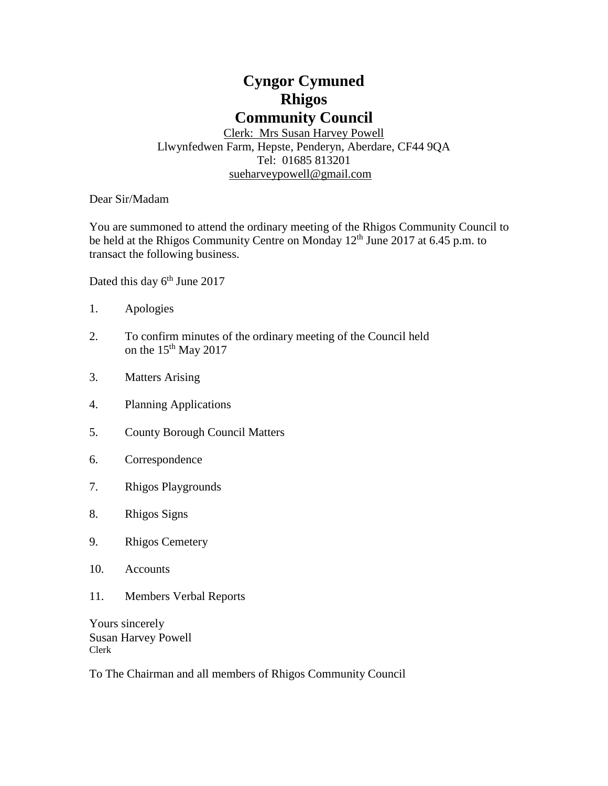# **Cyngor Cymuned Rhigos Community Council**

Clerk: Mrs Susan Harvey Powell Llwynfedwen Farm, Hepste, Penderyn, Aberdare, CF44 9QA Tel: 01685 813201 [sueharveypowell@g](mailto:sharveypowell@comin-infants.co.uk)mail.com

Dear Sir/Madam

You are summoned to attend the ordinary meeting of the Rhigos Community Council to be held at the Rhigos Community Centre on Monday 12<sup>th</sup> June 2017 at 6.45 p.m. to transact the following business.

Dated this day 6<sup>th</sup> June 2017

- 1. Apologies
- 2. To confirm minutes of the ordinary meeting of the Council held on the  $15<sup>th</sup>$  May 2017
- 3. Matters Arising
- 4. Planning Applications
- 5. County Borough Council Matters
- 6. Correspondence
- 7. Rhigos Playgrounds
- 8. Rhigos Signs
- 9. Rhigos Cemetery
- 10. Accounts
- 11. Members Verbal Reports

Yours sincerely Susan Harvey Powell Clerk

To The Chairman and all members of Rhigos Community Council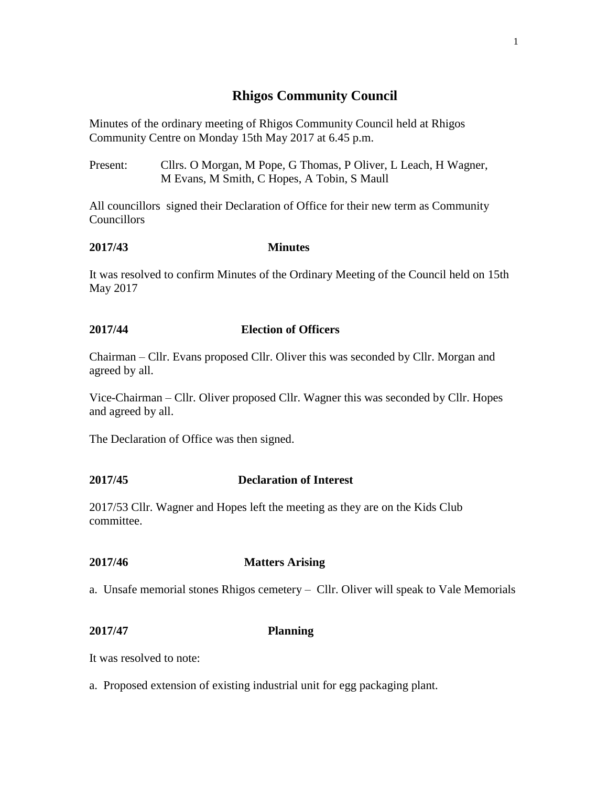# **Rhigos Community Council**

Minutes of the ordinary meeting of Rhigos Community Council held at Rhigos Community Centre on Monday 15th May 2017 at 6.45 p.m.

Present: Cllrs. O Morgan, M Pope, G Thomas, P Oliver, L Leach, H Wagner, M Evans, M Smith, C Hopes, A Tobin, S Maull

All councillors signed their Declaration of Office for their new term as Community **Councillors** 

# **2017/43 Minutes**

It was resolved to confirm Minutes of the Ordinary Meeting of the Council held on 15th May 2017

# **2017/44 Election of Officers**

Chairman – Cllr. Evans proposed Cllr. Oliver this was seconded by Cllr. Morgan and agreed by all.

Vice-Chairman – Cllr. Oliver proposed Cllr. Wagner this was seconded by Cllr. Hopes and agreed by all.

The Declaration of Office was then signed.

# **2017/45 Declaration of Interest**

2017/53 Cllr. Wagner and Hopes left the meeting as they are on the Kids Club committee.

# **2017/46 Matters Arising**

a. Unsafe memorial stones Rhigos cemetery – Cllr. Oliver will speak to Vale Memorials

#### **2017/47 Planning**

It was resolved to note:

a. Proposed extension of existing industrial unit for egg packaging plant.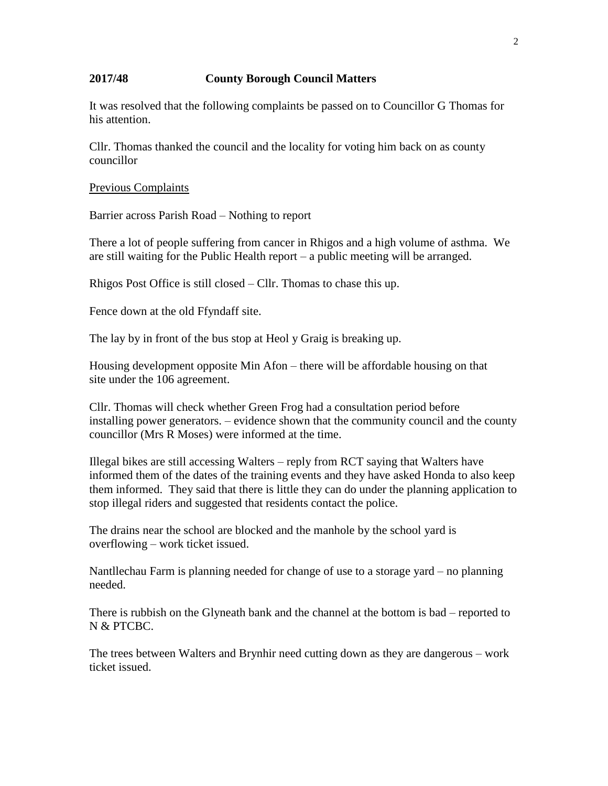#### **2017/48 County Borough Council Matters**

It was resolved that the following complaints be passed on to Councillor G Thomas for his attention.

Cllr. Thomas thanked the council and the locality for voting him back on as county councillor

#### Previous Complaints

Barrier across Parish Road – Nothing to report

There a lot of people suffering from cancer in Rhigos and a high volume of asthma. We are still waiting for the Public Health report – a public meeting will be arranged.

Rhigos Post Office is still closed – Cllr. Thomas to chase this up.

Fence down at the old Ffyndaff site.

The lay by in front of the bus stop at Heol y Graig is breaking up.

Housing development opposite Min Afon – there will be affordable housing on that site under the 106 agreement.

Cllr. Thomas will check whether Green Frog had a consultation period before installing power generators. – evidence shown that the community council and the county councillor (Mrs R Moses) were informed at the time.

Illegal bikes are still accessing Walters – reply from RCT saying that Walters have informed them of the dates of the training events and they have asked Honda to also keep them informed. They said that there is little they can do under the planning application to stop illegal riders and suggested that residents contact the police.

The drains near the school are blocked and the manhole by the school yard is overflowing – work ticket issued.

Nantllechau Farm is planning needed for change of use to a storage yard – no planning needed.

There is rubbish on the Glyneath bank and the channel at the bottom is bad – reported to N & PTCBC.

The trees between Walters and Brynhir need cutting down as they are dangerous – work ticket issued.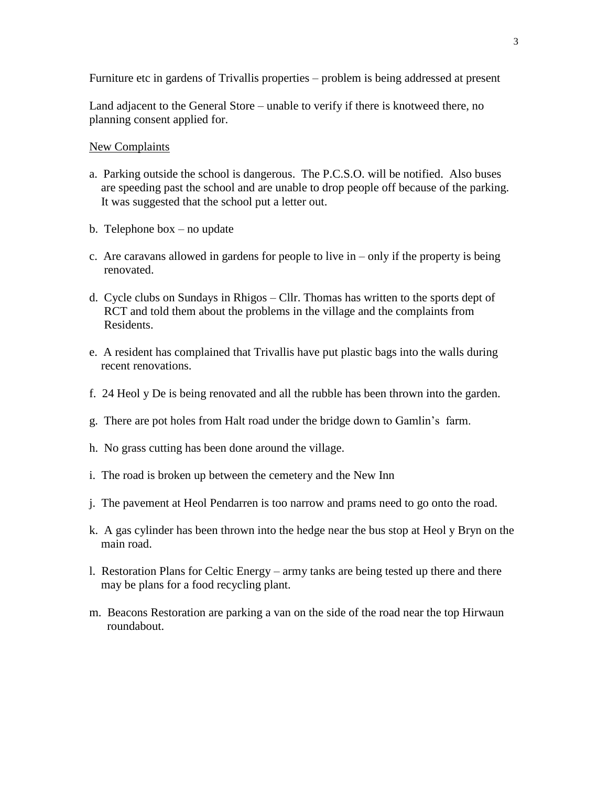Furniture etc in gardens of Trivallis properties – problem is being addressed at present

Land adjacent to the General Store – unable to verify if there is knotweed there, no planning consent applied for.

#### New Complaints

- a. Parking outside the school is dangerous. The P.C.S.O. will be notified. Also buses are speeding past the school and are unable to drop people off because of the parking. It was suggested that the school put a letter out.
- b. Telephone box no update
- c. Are caravans allowed in gardens for people to live in only if the property is being renovated.
- d. Cycle clubs on Sundays in Rhigos Cllr. Thomas has written to the sports dept of RCT and told them about the problems in the village and the complaints from Residents.
- e. A resident has complained that Trivallis have put plastic bags into the walls during recent renovations.
- f. 24 Heol y De is being renovated and all the rubble has been thrown into the garden.
- g. There are pot holes from Halt road under the bridge down to Gamlin's farm.
- h. No grass cutting has been done around the village.
- i. The road is broken up between the cemetery and the New Inn
- j. The pavement at Heol Pendarren is too narrow and prams need to go onto the road.
- k. A gas cylinder has been thrown into the hedge near the bus stop at Heol y Bryn on the main road.
- l. Restoration Plans for Celtic Energy army tanks are being tested up there and there may be plans for a food recycling plant.
- m. Beacons Restoration are parking a van on the side of the road near the top Hirwaun roundabout.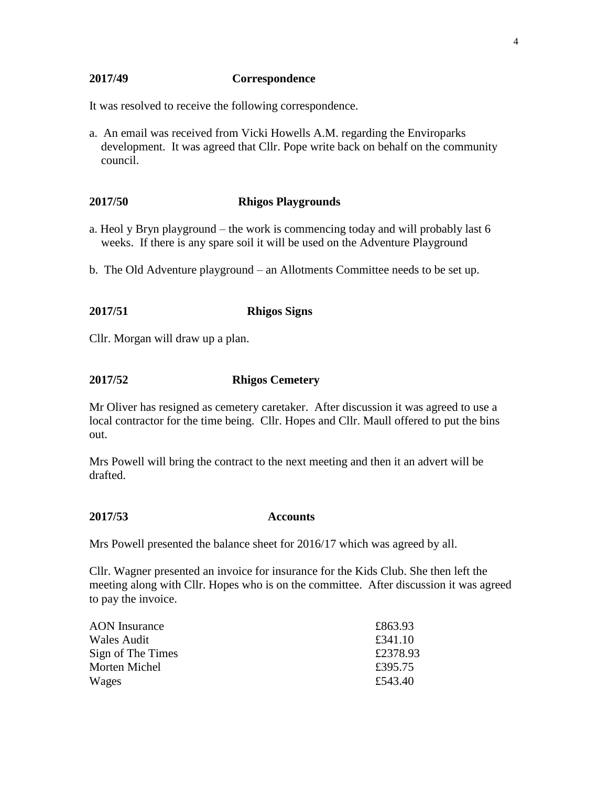#### **2017/49 Correspondence**

It was resolved to receive the following correspondence.

a. An email was received from Vicki Howells A.M. regarding the Enviroparks development. It was agreed that Cllr. Pope write back on behalf on the community council.

#### **2017/50 Rhigos Playgrounds**

- a. Heol y Bryn playground the work is commencing today and will probably last 6 weeks. If there is any spare soil it will be used on the Adventure Playground
- b. The Old Adventure playground an Allotments Committee needs to be set up.

### **2017/51 Rhigos Signs**

Cllr. Morgan will draw up a plan.

#### **2017/52 Rhigos Cemetery**

Mr Oliver has resigned as cemetery caretaker. After discussion it was agreed to use a local contractor for the time being. Cllr. Hopes and Cllr. Maull offered to put the bins out.

Mrs Powell will bring the contract to the next meeting and then it an advert will be drafted.

**2017/53 Accounts**

Mrs Powell presented the balance sheet for 2016/17 which was agreed by all.

Cllr. Wagner presented an invoice for insurance for the Kids Club. She then left the meeting along with Cllr. Hopes who is on the committee. After discussion it was agreed to pay the invoice.

| <b>AON</b> Insurance | £863.93  |
|----------------------|----------|
| Wales Audit          | £341.10  |
| Sign of The Times    | £2378.93 |
| Morten Michel        | £395.75  |
| Wages                | £543.40  |
|                      |          |